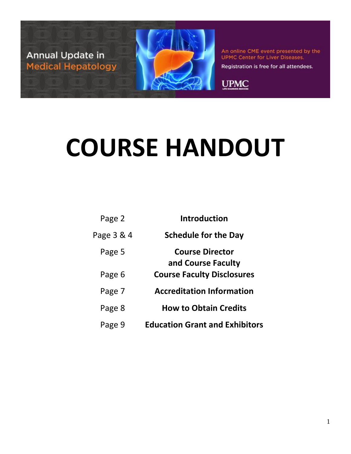

Registration is free for all attendees.

**UPMC** 

# **COURSE HANDOUT**

| <b>Introduction</b>                   | Page 2     |
|---------------------------------------|------------|
| <b>Schedule for the Day</b>           | Page 3 & 4 |
| <b>Course Director</b>                | Page 5     |
| and Course Faculty                    |            |
| <b>Course Faculty Disclosures</b>     | Page 6     |
| <b>Accreditation Information</b>      | Page 7     |
| <b>How to Obtain Credits</b>          | Page 8     |
| <b>Education Grant and Exhibitors</b> | Page 9     |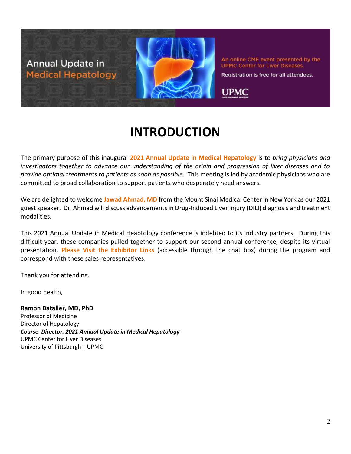

Registration is free for all attendees.

**UPMC** 

**INTRODUCTION**

The primary purpose of this inaugural **2021 Annual Update in Medical Hepatology** is to *bring physicians and investigators together to advance our understanding of the origin and progression of liver diseases and to provide optimal treatments to patients as soon as possible*. This meeting is led by academic physicians who are committed to broad collaboration to support patients who desperately need answers.

We are delighted to welcome **Jawad Ahmad, MD** from the Mount Sinai Medical Center in New York as our 2021 guest speaker. Dr. Ahmad will discuss advancements in Drug-Induced Liver Injury (DILI) diagnosis and treatment modalities.

This 2021 Annual Update in Medical Heaptology conference is indebted to its industry partners. During this difficult year, these companies pulled together to support our second annual conference, despite its virtual presentation. **Please Visit the Exhibitor Links** (accessible through the chat box) during the program and correspond with these sales representatives.

Thank you for attending.

In good health,

**Ramon Bataller, MD, PhD** Professor of Medicine Director of Hepatology *Course Director, 2021 Annual Update in Medical Hepatology* UPMC Center for Liver Diseases University of Pittsburgh | UPMC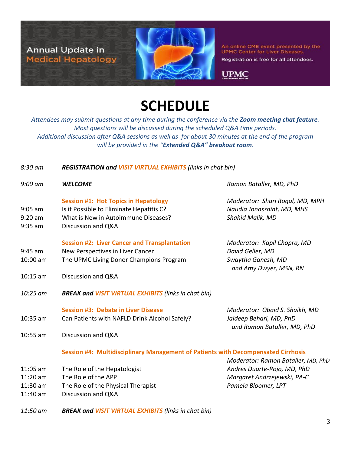

Registration is free for all attendees.

**UPMC** 

## **SCHEDULE**

*Attendees may submit questions at any time during the conference via the Zoom meeting chat feature. Most questions will be discussed during the scheduled Q&A time periods. Additional discussion after Q&A sessions as well as for about 30 minutes at the end of the program will be provided in the "Extended Q&A" breakout room.* 

#### *8:30 am REGISTRATION and VISIT VIRTUAL EXHIBITS (links in chat bin)*

*9:00 am WELCOME Ramon Bataller, MD, PhD*

#### **Session #1: Hot Topics in Hepatology** *Moderator: Shari Rogal, MD, MPH*

- 9:05 am Is it Possible to Eliminate Hepatitis C? *Naudia Jonassaint, MD, MHS*
- 9:20 am What is New in Autoimmune Diseases? *Shahid Malik, MD*
- 9:35 am Discussion and Q&A

#### **Session #2: Liver Cancer and Transplantation** *Moderator: Kapil Chopra, MD*

- 9:45 am New Perspectives in Liver Cancer *David Geller, MD*
- 10:00 am The UPMC Living Donor Champions Program *Swaytha Ganesh, MD*
- 10:15 am Discussion and Q&A
- *10:25 am BREAK and VISIT VIRTUAL EXHIBITS (links in chat bin)*

#### **Session #3: Debate in Liver Disease** *Moderator: Obaid S. Shaikh, MD*

- 10:35 am Can Patients with NAFLD Drink Alcohol Safely? *Jaideep Behari, MD, PhD*
- *and Ramon Bataller, MD, PhD*

*and Amy Dwyer, MSN, RN*

10:55 am Discussion and Q&A

#### **Session #4: Multidisciplinary Management of Patients with Decompensated Cirrhosis**

- 11:05 am The Role of the Hepatologist *Andres Duarte-Rojo, MD, PhD*
- 11:20 am The Role of the APP *Margaret Andrzejewski, PA-C*
- 11:30 am The Role of the Physical Therapist *Pamela Bloomer, LPT*
- 11:40 am Discussion and Q&A
- *Moderator: Ramon Bataller, MD, PhD*
- *11:50 am BREAK and VISIT VIRTUAL EXHIBITS (links in chat bin)*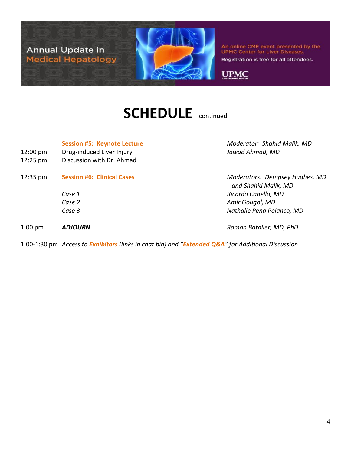

Registration is free for all attendees.

**UPMC** 

### **SCHEDULE** continued

- 12:00 pm Drug-induced Liver Injury *Jawad Ahmad, MD*
- 12:25 pm Discussion with Dr. Ahmad
- 12:35 pm **Session #6: Clinical Cases** *Moderators: Dempsey Hughes, MD*
	-

**Session #5: Keynote Lecture** *Moderator: Shahid Malik, MD*

 *and Shahid Malik, MD Case 1 Ricardo Cabello, MD Case 2 Amir Gougol, MD Case 3 Nathalie Pena Polanco, MD*

1:00 pm *ADJOURN Ramon Bataller, MD, PhD*

1:00-1:30 pm *Access to Exhibitors (links in chat bin) and "Extended Q&A" for Additional Discussion*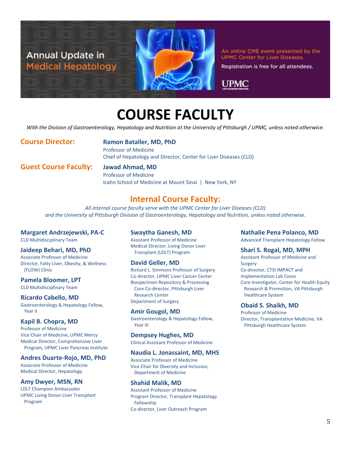

Registration is free for all attendees.

UPMC

### **COURSE FACULTY**

*With the Division of Gastroenterology, Hepatology and Nutrition at the University of Pittsburgh / UPMC, unless noted otherwise.*

**Course Director: Ramon Bataller, MD, PhD**

Professor of Medicine Chief of Hepatology and Director, Center for Liver Diseases (CLD)

**Guest Course Faculty: Jawad Ahmad, MD**

Professor of Medicine Icahn School of Medicine at Mount Sinai | New York, NY

### **Internal Course Faculty:**

*All internal course faculty serve with the UPMC Center for Liver Diseases (CLD) and the University of Pittsburgh Division of Gastroenterology, Hepatology and Nutrition, unless noted otherwise.*

#### **Margaret Andrzejewski, PA-C**

CLD Multidisciplinary Team

#### **Jaideep Behari, MD, PhD**

Associate Professor of Medicine Director, Fatty Liver, Obesity, & Wellness (FLOW) Clinic

**Pamela Bloomer, LPT** CLD Multidisciplinary Team

**Ricardo Cabello, MD** Gastroenterology & Hepatology Fellow, Year II

#### **Kapil B. Chopra, MD**

Professor of Medicine Vice Chair of Medicine, UPMC Mercy Medical Director, Comprehensive Liver Program, UPMC Liver Pancreas Institute

**Andres Duarte-Rojo, MD, PhD** Associate Professor of Medicine

Medical Director, Hepatology **Amy Dwyer, MSN, RN**

LDLT Champion Ambassador UPMC Living Donor Liver Transplant Program

#### **Swaytha Ganesh, MD**

Assistant Professor of Medicine Medical Director, Living Donor Liver Transplant (LDLT) Program

#### **David Geller, MD**

Richard L. Simmons Professor of Surgery Co-director, UPMC Liver Cancer Center Biospecimen Repository & Processing Core Co-director, Pittsburgh Liver Research Center Department of Surgery

#### **Amir Gougol, MD**

Gastroenterology & Hepatology Fellow, Year III

#### **Dempsey Hughes, MD**

Clinical Assistant Professor of Medicine

#### **Naudia L. Jonassaint, MD, MHS**

Associate Professor of Medicine Vice Chair for Diversity and Inclusion, Department of Medicine

#### **Shahid Malik, MD**

Assistant Professor of Medicine Program Director, Transplant Hepatology Fellowship Co-director, Liver Outreach Program

#### **Nathalie Pena Polanco, MD**

Advanced Transplant Hepatology Fellow

#### **Shari S. Rogal, MD, MPH**

Assistant Professor of Medicine and Surgery Co-director, CTSI IMPACT and Implementation Lab Cores Core Investigator, Center for Health Equity Research & Promotion, VA Pittsburgh Healthcare System

#### **Obaid S. Shaikh, MD**

Professor of Medicine Director, Transplantation Medicine, VA Pittsburgh Healthcare System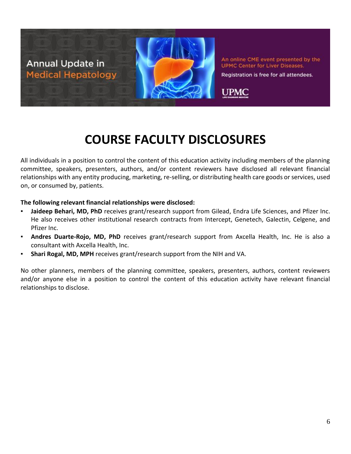

Registration is free for all attendees.

**UPMC** 

### **COURSE FACULTY DISCLOSURES**

All individuals in a position to control the content of this education activity including members of the planning committee, speakers, presenters, authors, and/or content reviewers have disclosed all relevant financial relationships with any entity producing, marketing, re-selling, or distributing health care goods or services, used on, or consumed by, patients.

#### **The following relevant financial relationships were disclosed:**

- Jaideep Behari, MD, PhD receives grant/research support from Gilead, Endra Life Sciences, and Pfizer Inc. He also receives other institutional research contracts from Intercept, Genetech, Galectin, Celgene, and Pfizer Inc.
- Andres Duarte-Rojo, MD, PhD receives grant/research support from Axcella Health, Inc. He is also a consultant with Axcella Health, Inc.
- **Shari Rogal, MD, MPH** receives grant/research support from the NIH and VA.

No other planners, members of the planning committee, speakers, presenters, authors, content reviewers and/or anyone else in a position to control the content of this education activity have relevant financial relationships to disclose.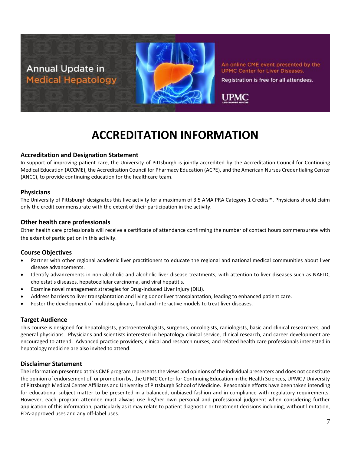

An online CME event presented by the **UPMC Center for Liver Diseases.** Registration is free for all attendees.



### **ACCREDITATION INFORMATION**

#### **Accreditation and Designation Statement**

In support of improving patient care, the University of Pittsburgh is jointly accredited by the Accreditation Council for Continuing Medical Education (ACCME), the Accreditation Council for Pharmacy Education (ACPE), and the American Nurses Credentialing Center (ANCC), to provide continuing education for the healthcare team.

#### **Physicians**

The University of Pittsburgh designates this live activity for a maximum of 3.5 AMA PRA Category 1 Credits™. Physicians should claim only the credit commensurate with the extent of their participation in the activity.

#### **Other health care professionals**

Other health care professionals will receive a certificate of attendance confirming the number of contact hours commensurate with the extent of participation in this activity.

#### **Course Objectives**

- Partner with other regional academic liver practitioners to educate the regional and national medical communities about liver disease advancements.
- Identify advancements in non-alcoholic and alcoholic liver disease treatments, with attention to liver diseases such as NAFLD, cholestatis diseases, hepatocellular carcinoma, and viral hepatitis.
- Examine novel management strategies for Drug-Induced Liver Injury (DILI).
- Address barriers to liver transplantation and living donor liver transplantation, leading to enhanced patient care.
- Foster the development of multidisciplinary, fluid and interactive models to treat liver diseases.

#### **Target Audience**

This course is designed for hepatologists, gastroenterologists, surgeons, oncologists, radiologists, basic and clinical researchers, and general physicians. Physicians and scientists interested in hepatology clinical service, clinical research, and career development are encouraged to attend. Advanced practice providers, clinical and research nurses, and related health care professionals interested in hepatology medicine are also invited to attend.

#### **Disclaimer Statement**

The information presented at this CME program represents the views and opinions of the individual presenters and does not constitute the opinion of endorsement of, or promotion by, the UPMC Center for Continuing Education in the Health Sciences, UPMC / University of Pittsburgh Medical Center Affiliates and University of Pittsburgh School of Medicine. Reasonable efforts have been taken intending for educational subject matter to be presented in a balanced, unbiased fashion and in compliance with regulatory requirements. However, each program attendee must always use his/her own personal and professional judgment when considering further application of this information, particularly as it may relate to patient diagnostic or treatment decisions including, without limitation, FDA-approved uses and any off-label uses.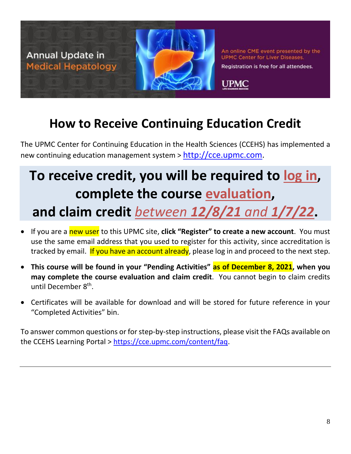

Registration is free for all attendees.

### **How to Receive Continuing Education Credit**

The UPMC Center for Continuing Education in the Health Sciences (CCEHS) has implemented a new continuing education management system > [http://cce.upmc.com.](http://cce.upmc.com/)

## **To receive credit, you will be required to log in, complete the course evaluation, and claim credit** *between 12/8/21 and 1/7/22***.**

### • If you are a new user to this UPMC site, **click "Register" to create a new account**. You must use the same email address that you used to register for this activity, since accreditation is tracked by email. If you have an account already, please log in and proceed to the next step.

- **This course will be found in your "Pending Activities" as of December 8, 2021, when you may complete the course evaluation and claim credit**. You cannot begin to claim credits until December 8<sup>th</sup>.
- Certificates will be available for download and will be stored for future reference in your "Completed Activities" bin.

To answer common questions or for step-by-step instructions, please visit the FAQs available on the CCEHS Learning Portal > [https://cce.upmc.com/content/faq.](https://cce.upmc.com/content/faq)